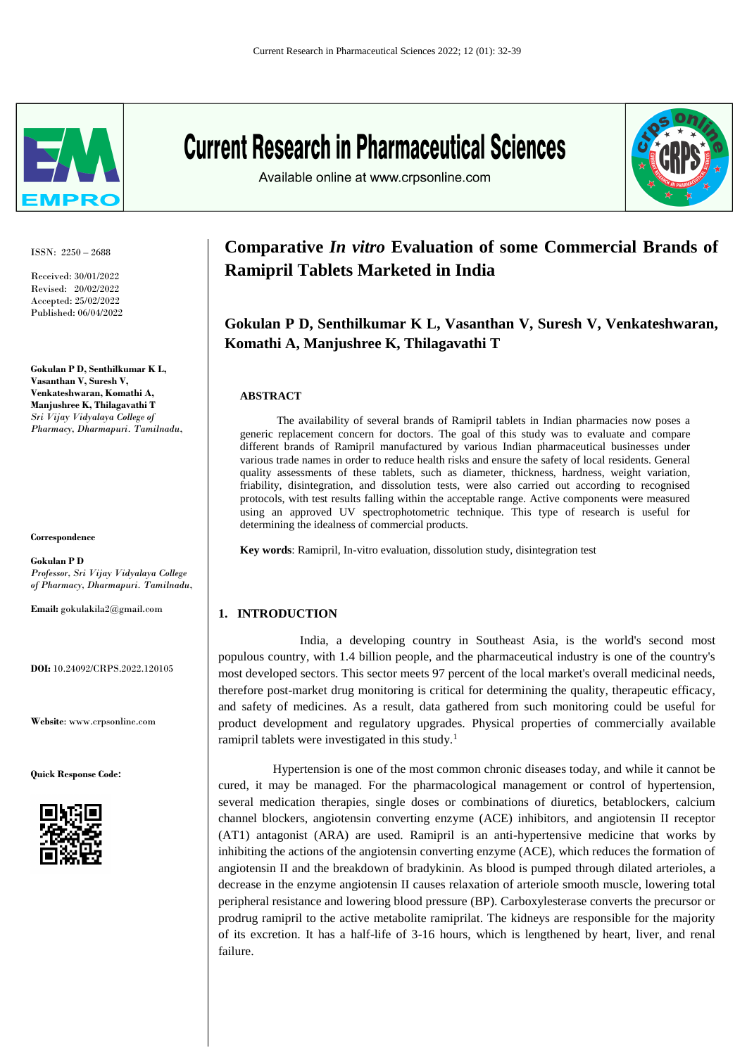

ISSN: 2250 – 2688

Received: 30/01/2022 Revised: 20/02/2022 Accepted: 25/02/2022 Published: 06/04/2022

**Gokulan P D, Senthilkumar K L, Vasanthan V, Suresh V, Venkateshwaran, Komathi A, Manjushree K, Thilagavathi T** *Sri Vijay Vidyalaya College of Pharmacy, Dharmapuri. Tamilnadu*,

**Correspondence**

**Gokulan P D** *Professor, Sri Vijay Vidyalaya College of Pharmacy, Dharmapuri. Tamilnadu*,

**Email:** gokulakila2@gmail.com

**DOI:** 10.24092/CRPS.2022.120105

**Website**: www.crpsonline.com

**Quick Response Code:**



# **Current Research in Pharmaceutical Sciences**

Available online at www.crpsonline.com



# **Comparative** *In vitro* **Evaluation of some Commercial Brands of Ramipril Tablets Marketed in India**

# **Gokulan P D, Senthilkumar K L, Vasanthan V, Suresh V, Venkateshwaran, Komathi A, Manjushree K, Thilagavathi T**

#### **ABSTRACT**

 The availability of several brands of Ramipril tablets in Indian pharmacies now poses a generic replacement concern for doctors. The goal of this study was to evaluate and compare different brands of Ramipril manufactured by various Indian pharmaceutical businesses under various trade names in order to reduce health risks and ensure the safety of local residents. General quality assessments of these tablets, such as diameter, thickness, hardness, weight variation, friability, disintegration, and dissolution tests, were also carried out according to recognised protocols, with test results falling within the acceptable range. Active components were measured using an approved UV spectrophotometric technique. This type of research is useful for determining the idealness of commercial products.

**Key words**: Ramipril, In-vitro evaluation, dissolution study, disintegration test

# **1. INTRODUCTION**

 India, a developing country in Southeast Asia, is the world's second most populous country, with 1.4 billion people, and the pharmaceutical industry is one of the country's most developed sectors. This sector meets 97 percent of the local market's overall medicinal needs, therefore post-market drug monitoring is critical for determining the quality, therapeutic efficacy, and safety of medicines. As a result, data gathered from such monitoring could be useful for product development and regulatory upgrades. Physical properties of commercially available ramipril tablets were investigated in this study.<sup>1</sup>

 Hypertension is one of the most common chronic diseases today, and while it cannot be cured, it may be managed. For the pharmacological management or control of hypertension, several medication therapies, single doses or combinations of diuretics, betablockers, calcium channel blockers, angiotensin converting enzyme (ACE) inhibitors, and angiotensin II receptor (AT1) antagonist (ARA) are used. Ramipril is an anti-hypertensive medicine that works by inhibiting the actions of the angiotensin converting enzyme (ACE), which reduces the formation of angiotensin II and the breakdown of bradykinin. As blood is pumped through dilated arterioles, a decrease in the enzyme angiotensin II causes relaxation of arteriole smooth muscle, lowering total peripheral resistance and lowering blood pressure (BP). Carboxylesterase converts the precursor or prodrug ramipril to the active metabolite ramiprilat. The kidneys are responsible for the majority of its excretion. It has a half-life of 3-16 hours, which is lengthened by heart, liver, and renal failure.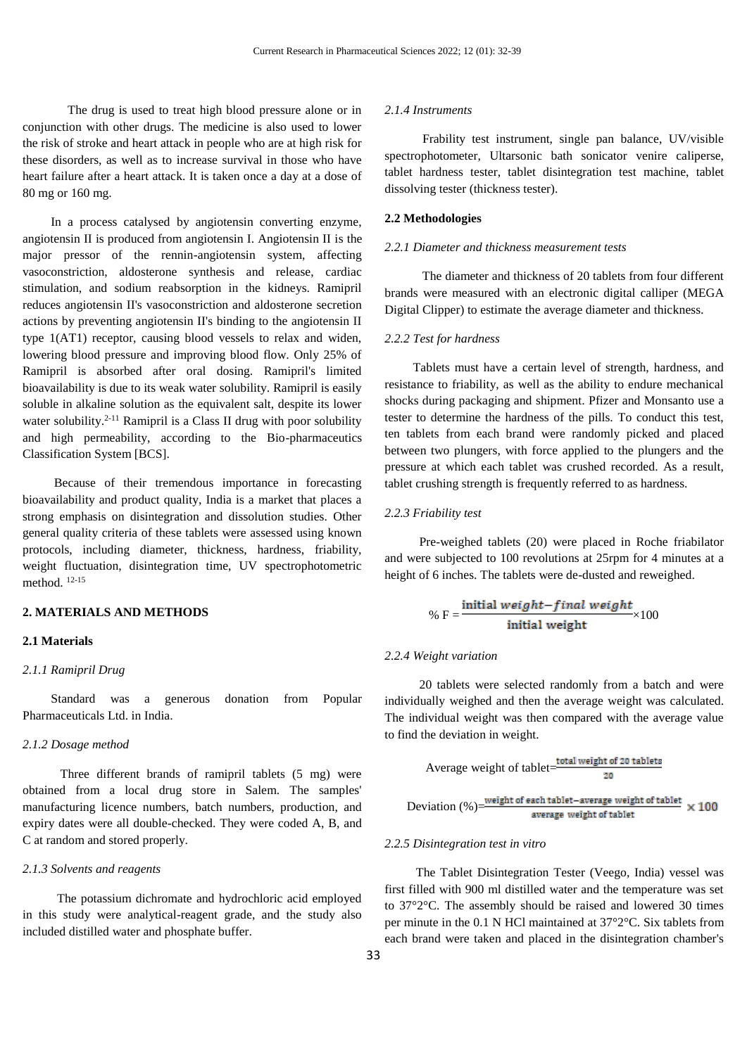The drug is used to treat high blood pressure alone or in conjunction with other drugs. The medicine is also used to lower the risk of stroke and heart attack in people who are at high risk for these disorders, as well as to increase survival in those who have heart failure after a heart attack. It is taken once a day at a dose of 80 mg or 160 mg.

 In a process catalysed by angiotensin converting enzyme, angiotensin II is produced from angiotensin I. Angiotensin II is the major pressor of the rennin-angiotensin system, affecting vasoconstriction, aldosterone synthesis and release, cardiac stimulation, and sodium reabsorption in the kidneys. Ramipril reduces angiotensin II's vasoconstriction and aldosterone secretion actions by preventing angiotensin II's binding to the angiotensin II type 1(AT1) receptor, causing blood vessels to relax and widen, lowering blood pressure and improving blood flow. Only 25% of Ramipril is absorbed after oral dosing. Ramipril's limited bioavailability is due to its weak water solubility. Ramipril is easily soluble in alkaline solution as the equivalent salt, despite its lower water solubility. $2^{-11}$  Ramipril is a Class II drug with poor solubility and high permeability, according to the Bio-pharmaceutics Classification System [BCS].

 Because of their tremendous importance in forecasting bioavailability and product quality, India is a market that places a strong emphasis on disintegration and dissolution studies. Other general quality criteria of these tablets were assessed using known protocols, including diameter, thickness, hardness, friability, weight fluctuation, disintegration time, UV spectrophotometric method. 12-15

## **2. MATERIALS AND METHODS**

# **2.1 Materials**

#### *2.1.1 Ramipril Drug*

 Standard was a generous donation from Popular Pharmaceuticals Ltd. in India.

#### *2.1.2 Dosage method*

 Three different brands of ramipril tablets (5 mg) were obtained from a local drug store in Salem. The samples' manufacturing licence numbers, batch numbers, production, and expiry dates were all double-checked. They were coded A, B, and C at random and stored properly.

#### *2.1.3 Solvents and reagents*

 The potassium dichromate and hydrochloric acid employed in this study were analytical-reagent grade, and the study also included distilled water and phosphate buffer.

#### *2.1.4 Instruments*

 Frability test instrument, single pan balance, UV/visible spectrophotometer, Ultarsonic bath sonicator venire caliperse, tablet hardness tester, tablet disintegration test machine, tablet dissolving tester (thickness tester).

## **2.2 Methodologies**

#### *2.2.1 Diameter and thickness measurement tests*

 The diameter and thickness of 20 tablets from four different brands were measured with an electronic digital calliper (MEGA Digital Clipper) to estimate the average diameter and thickness.

#### *2.2.2 Test for hardness*

 Tablets must have a certain level of strength, hardness, and resistance to friability, as well as the ability to endure mechanical shocks during packaging and shipment. Pfizer and Monsanto use a tester to determine the hardness of the pills. To conduct this test, ten tablets from each brand were randomly picked and placed between two plungers, with force applied to the plungers and the pressure at which each tablet was crushed recorded. As a result, tablet crushing strength is frequently referred to as hardness.

#### *2.2.3 Friability test*

 Pre-weighed tablets (20) were placed in Roche friabilator and were subjected to 100 revolutions at 25rpm for 4 minutes at a height of 6 inches. The tablets were de-dusted and reweighed.

$$
\% F = \frac{\text{initial weight}-final weight}{\text{initial weight}} \times 100
$$

#### *2.2.4 Weight variation*

 20 tablets were selected randomly from a batch and were individually weighed and then the average weight was calculated. The individual weight was then compared with the average value to find the deviation in weight.

Average weight of tablet=
$$
\frac{\text{total weight of 20 tablets}}{20}
$$
 Deviation (%) = 
$$
\frac{\text{weight of each tablet} - \text{average weight of tablet}}{\text{average weight of tablet}} \times 100
$$

#### *2.2.5 Disintegration test in vitro*

 The Tablet Disintegration Tester (Veego, India) vessel was first filled with 900 ml distilled water and the temperature was set to 37°2°C. The assembly should be raised and lowered 30 times per minute in the 0.1 N HCl maintained at 37°2°C. Six tablets from each brand were taken and placed in the disintegration chamber's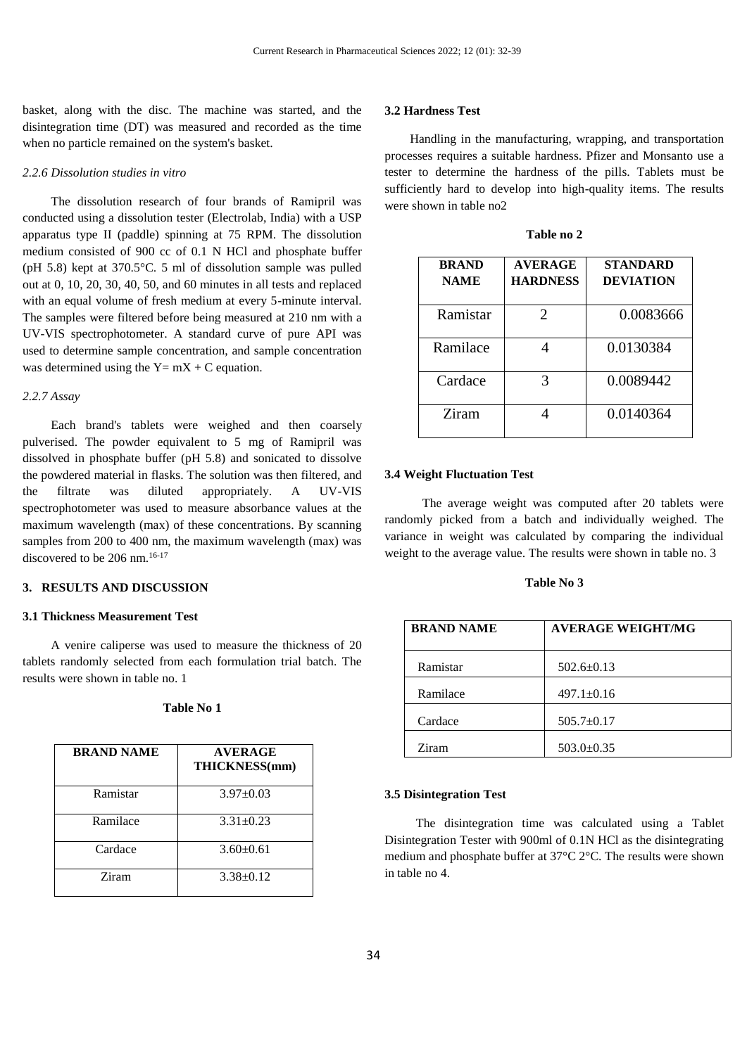basket, along with the disc. The machine was started, and the disintegration time (DT) was measured and recorded as the time when no particle remained on the system's basket.

#### *2.2.6 Dissolution studies in vitro*

 The dissolution research of four brands of Ramipril was conducted using a dissolution tester (Electrolab, India) with a USP apparatus type II (paddle) spinning at 75 RPM. The dissolution medium consisted of 900 cc of 0.1 N HCl and phosphate buffer (pH 5.8) kept at 370.5°C. 5 ml of dissolution sample was pulled out at 0, 10, 20, 30, 40, 50, and 60 minutes in all tests and replaced with an equal volume of fresh medium at every 5-minute interval. The samples were filtered before being measured at 210 nm with a UV-VIS spectrophotometer. A standard curve of pure API was used to determine sample concentration, and sample concentration was determined using the  $Y= mX + C$  equation.

#### *2.2.7 Assay*

 Each brand's tablets were weighed and then coarsely pulverised. The powder equivalent to 5 mg of Ramipril was dissolved in phosphate buffer (pH 5.8) and sonicated to dissolve the powdered material in flasks. The solution was then filtered, and the filtrate was diluted appropriately. A UV-VIS spectrophotometer was used to measure absorbance values at the maximum wavelength (max) of these concentrations. By scanning samples from 200 to 400 nm, the maximum wavelength (max) was discovered to be 206 nm.<sup>16-17</sup>

# **3. RESULTS AND DISCUSSION**

#### **3.1 Thickness Measurement Test**

 A venire caliperse was used to measure the thickness of 20 tablets randomly selected from each formulation trial batch. The results were shown in table no. 1

| Table No 1 |  |  |
|------------|--|--|
|------------|--|--|

| <b>BRAND NAME</b> | <b>AVERAGE</b><br>THICKNESS(mm) |
|-------------------|---------------------------------|
| Ramistar          | $3.97 \pm 0.03$                 |
| Ramilace          | $3.31 + 0.23$                   |
| Cardace           | $3.60+0.61$                     |
| Ziram             | $3.38 \pm 0.12$                 |

#### **3.2 Hardness Test**

 Handling in the manufacturing, wrapping, and transportation processes requires a suitable hardness. Pfizer and Monsanto use a tester to determine the hardness of the pills. Tablets must be sufficiently hard to develop into high-quality items. The results were shown in table no2

| <b>BRAND</b><br><b>NAME</b> | <b>AVERAGE</b><br><b>HARDNESS</b> | <b>STANDARD</b><br><b>DEVIATION</b> |
|-----------------------------|-----------------------------------|-------------------------------------|
| Ramistar                    | $\mathfrak{D}$                    | 0.0083666                           |
| Ramilace                    |                                   | 0.0130384                           |
| Cardace                     | 3                                 | 0.0089442                           |
| Ziram                       |                                   | 0.0140364                           |

**Table no 2**

#### **3.4 Weight Fluctuation Test**

 The average weight was computed after 20 tablets were randomly picked from a batch and individually weighed. The variance in weight was calculated by comparing the individual weight to the average value. The results were shown in table no. 3

#### **Table No 3**

| <b>BRAND NAME</b> | <b>AVERAGE WEIGHT/MG</b> |
|-------------------|--------------------------|
| Ramistar          | $502.6 \pm 0.13$         |
| Ramilace          | $497.1 \pm 0.16$         |
| Cardace           | $505.7 \pm 0.17$         |
| Ziram             | $503.0 \pm 0.35$         |

#### **3.5 Disintegration Test**

 The disintegration time was calculated using a Tablet Disintegration Tester with 900ml of 0.1N HCl as the disintegrating medium and phosphate buffer at 37°C 2°C. The results were shown in table no 4.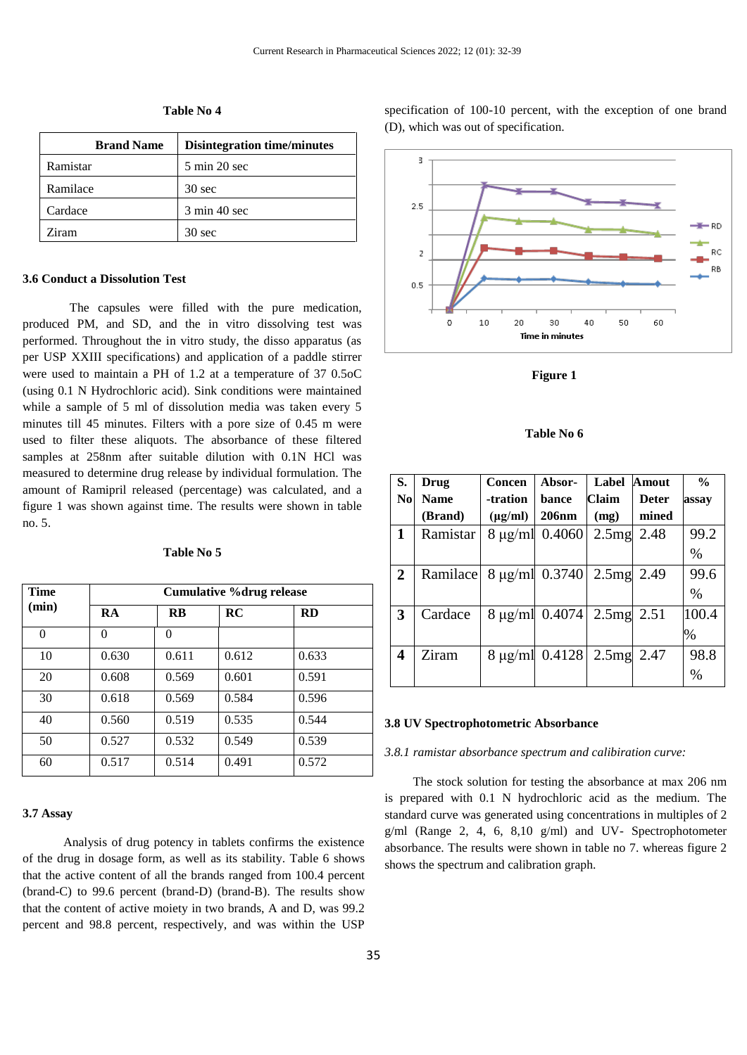| <b>Brand Name</b> | <b>Disintegration time/minutes</b> |
|-------------------|------------------------------------|
| Ramistar          | 5 min 20 sec                       |
| Ramilace          | $30 \text{ sec}$                   |
| Cardace           | 3 min 40 sec                       |
| Ziram             | $30 \text{ sec}$                   |
|                   |                                    |

**Table No 4**

#### **3.6 Conduct a Dissolution Test**

 The capsules were filled with the pure medication, produced PM, and SD, and the in vitro dissolving test was performed. Throughout the in vitro study, the disso apparatus (as per USP XXIII specifications) and application of a paddle stirrer were used to maintain a PH of 1.2 at a temperature of 37 0.5oC (using 0.1 N Hydrochloric acid). Sink conditions were maintained while a sample of 5 ml of dissolution media was taken every 5 minutes till 45 minutes. Filters with a pore size of 0.45 m were used to filter these aliquots. The absorbance of these filtered samples at 258nm after suitable dilution with 0.1N HCl was measured to determine drug release by individual formulation. The amount of Ramipril released (percentage) was calculated, and a figure 1 was shown against time. The results were shown in table no. 5.

## **Table No 5**

| <b>Time</b> |       | <b>Cumulative %drug release</b> |       |           |  |
|-------------|-------|---------------------------------|-------|-----------|--|
| (min)       | RA    | <b>RB</b>                       | RC    | <b>RD</b> |  |
| $\theta$    | 0     | $\Omega$                        |       |           |  |
| 10          | 0.630 | 0.611                           | 0.612 | 0.633     |  |
| 20          | 0.608 | 0.569                           | 0.601 | 0.591     |  |
| 30          | 0.618 | 0.569                           | 0.584 | 0.596     |  |
| 40          | 0.560 | 0.519                           | 0.535 | 0.544     |  |
| 50          | 0.527 | 0.532                           | 0.549 | 0.539     |  |
| 60          | 0.517 | 0.514                           | 0.491 | 0.572     |  |

#### **3.7 Assay**

 Analysis of drug potency in tablets confirms the existence of the drug in dosage form, as well as its stability. Table 6 shows that the active content of all the brands ranged from 100.4 percent (brand-C) to 99.6 percent (brand-D) (brand-B). The results show that the content of active moiety in two brands, A and D, was 99.2 percent and 98.8 percent, respectively, and was within the USP specification of 100-10 percent, with the exception of one brand (D), which was out of specification.



**Figure 1**

#### **Table No 6**

| S.                      | Drug        | Concen       | Absor-                | Label | <b>Amout</b> | $\frac{0}{0}$ |
|-------------------------|-------------|--------------|-----------------------|-------|--------------|---------------|
| $\bf No$                | <b>Name</b> | -tration     | bance                 | Claim | <b>Deter</b> | assay         |
|                         | (Brand)     | $(\mu g/ml)$ | <b>206nm</b>          | (mg)  | mined        |               |
| 1                       | Ramistar    |              | $8 \mu g/ml$ 0.4060   | 2.5mg | 2.48         | 99.2          |
|                         |             |              |                       |       |              | $\%$          |
| $\overline{2}$          | Ramilace    |              | 8 μg/ml 0.3740        | 2.5mg | 2.49         | 99.6          |
|                         |             |              |                       |       |              | $\%$          |
| $\mathbf{3}$            | Cardace     |              | $8 \mu g/ml \ 0.4074$ | 2.5mg | 2.51         | 100.4         |
|                         |             |              |                       |       |              | %             |
| $\overline{\mathbf{4}}$ | Ziram       |              | $8 \mu g/ml$ 0.4128   | 2.5mg | 2.47         | 98.8          |
|                         |             |              |                       |       |              | $\%$          |

#### **3.8 UV Spectrophotometric Absorbance**

#### *3.8.1 ramistar absorbance spectrum and calibiration curve:*

 The stock solution for testing the absorbance at max 206 nm is prepared with 0.1 N hydrochloric acid as the medium. The standard curve was generated using concentrations in multiples of 2  $g/ml$  (Range 2, 4, 6, 8,10  $g/ml$ ) and UV- Spectrophotometer absorbance. The results were shown in table no 7. whereas figure 2 shows the spectrum and calibration graph.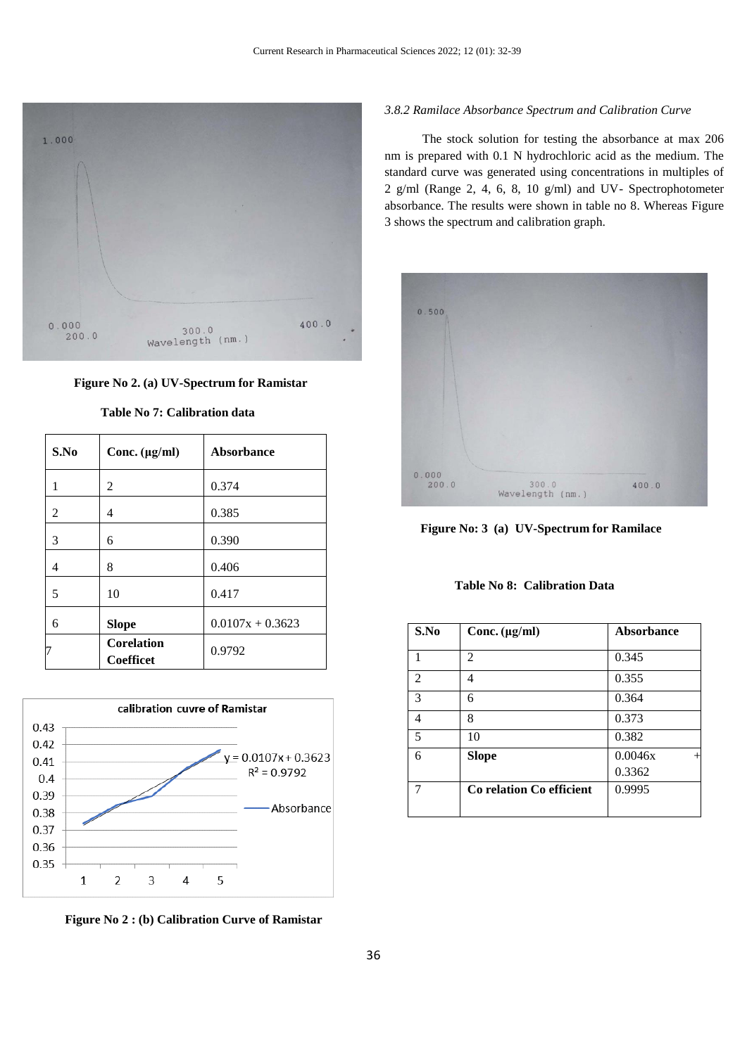

 **Figure No 2. (a) UV-Spectrum for Ramistar**

| S.No | Conc. $(\mu g/ml)$                    | <b>Absorbance</b>  |
|------|---------------------------------------|--------------------|
| 1    | 2                                     | 0.374              |
| 2    | 4                                     | 0.385              |
| 3    | 6                                     | 0.390              |
| 4    | 8                                     | 0.406              |
| 5    | 10                                    | 0.417              |
| 6    | <b>Slope</b>                          | $0.0107x + 0.3623$ |
|      | <b>Corelation</b><br><b>Coefficet</b> | 0.9792             |

**Table No 7: Calibration data**



**Figure No 2 : (b) Calibration Curve of Ramistar**

# *3.8.2 Ramilace Absorbance Spectrum and Calibration Curve*

 The stock solution for testing the absorbance at max 206 nm is prepared with 0.1 N hydrochloric acid as the medium. The standard curve was generated using concentrations in multiples of 2 g/ml (Range 2, 4, 6, 8, 10 g/ml) and UV- Spectrophotometer absorbance. The results were shown in table no 8. Whereas Figure 3 shows the spectrum and calibration graph.



 **Figure No: 3 (a) UV-Spectrum for Ramilace**

# **Table No 8: Calibration Data**

| S.No           | Conc. $(\mu g/ml)$       | Absorbance |
|----------------|--------------------------|------------|
|                | $\overline{c}$           | 0.345      |
| $\overline{2}$ | 4                        | 0.355      |
| 3              | 6                        | 0.364      |
| 4              | 8                        | 0.373      |
| 5              | 10                       | 0.382      |
| 6              | <b>Slope</b>             | 0.0046x    |
|                |                          | 0.3362     |
|                | Co relation Co efficient | 0.9995     |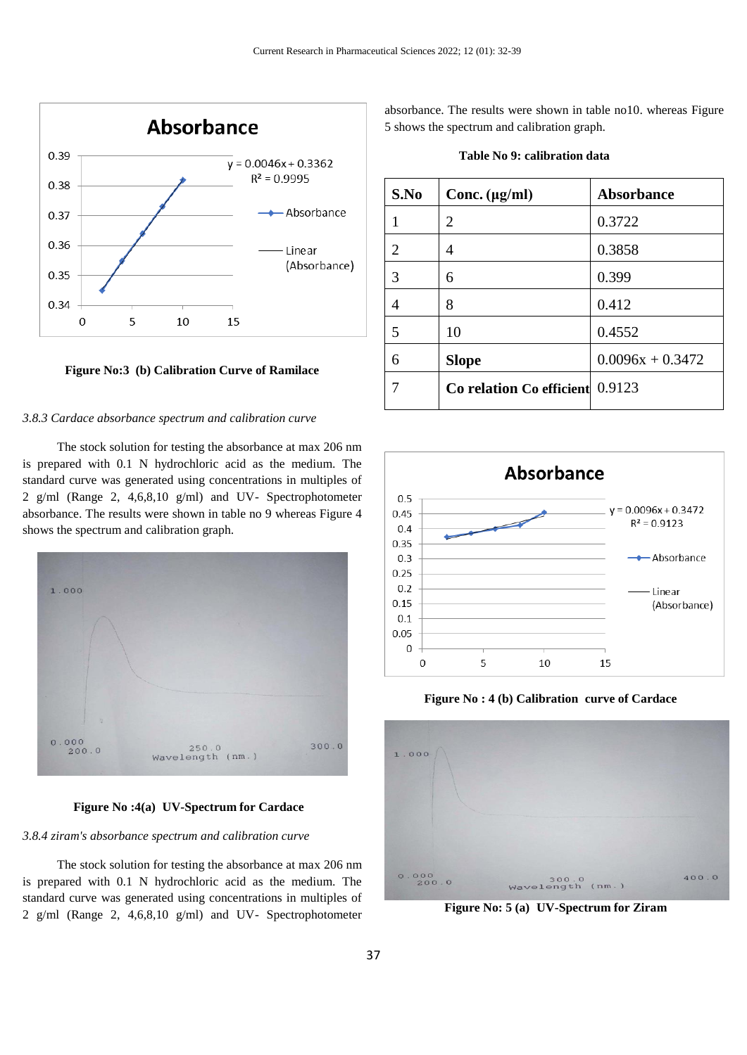

**Figure No:3 (b) Calibration Curve of Ramilace**

#### *3.8.3 Cardace absorbance spectrum and calibration curve*

 The stock solution for testing the absorbance at max 206 nm is prepared with 0.1 N hydrochloric acid as the medium. The standard curve was generated using concentrations in multiples of 2 g/ml (Range 2, 4,6,8,10 g/ml) and UV- Spectrophotometer absorbance. The results were shown in table no 9 whereas Figure 4 shows the spectrum and calibration graph.



**Figure No :4(a) UV-Spectrum for Cardace**

#### *3.8.4 ziram's absorbance spectrum and calibration curve*

 The stock solution for testing the absorbance at max 206 nm is prepared with 0.1 N hydrochloric acid as the medium. The standard curve was generated using concentrations in multiples of 2 g/ml (Range 2, 4,6,8,10 g/ml) and UV- Spectrophotometer absorbance. The results were shown in table no10. whereas Figure 5 shows the spectrum and calibration graph.

| Table No 9: calibration data |
|------------------------------|
|------------------------------|

| S.No | Conc. $(\mu g/ml)$              | <b>Absorbance</b>  |
|------|---------------------------------|--------------------|
|      | 2                               | 0.3722             |
| 2    | 4                               | 0.3858             |
| 3    | 6                               | 0.399              |
| 4    | 8                               | 0.412              |
| 5    | 10                              | 0.4552             |
| 6    | <b>Slope</b>                    | $0.0096x + 0.3472$ |
| 7    | Co relation Co efficient 0.9123 |                    |



**Figure No : 4 (b) Calibration curve of Cardace**



**Figure No: 5 (a) UV-Spectrum for Ziram**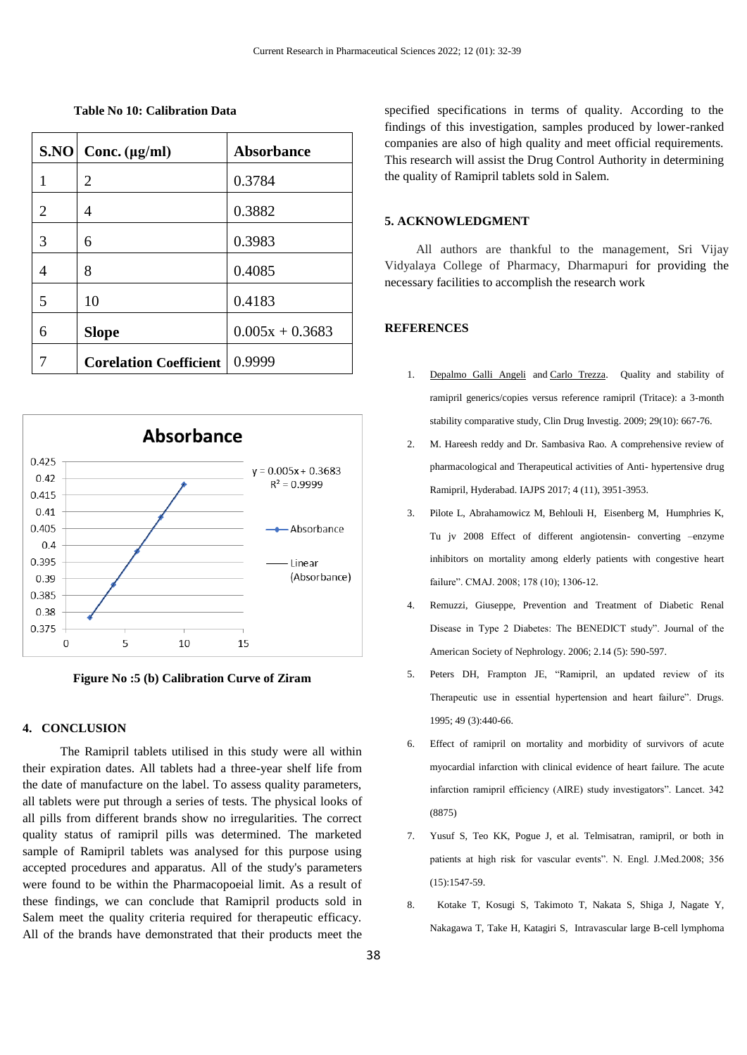| S.NO | Conc. $(\mu g/ml)$            | <b>Absorbance</b> |
|------|-------------------------------|-------------------|
| 1    | 2                             | 0.3784            |
| 2    | 4                             | 0.3882            |
| 3    | 6                             | 0.3983            |
| 4    | 8                             | 0.4085            |
| 5    | 10                            | 0.4183            |
| 6    | <b>Slope</b>                  | $0.005x + 0.3683$ |
|      | <b>Corelation Coefficient</b> | 0.9999            |

**Table No 10: Calibration Data**



**Figure No :5 (b) Calibration Curve of Ziram**

#### **4. CONCLUSION**

 The Ramipril tablets utilised in this study were all within their expiration dates. All tablets had a three-year shelf life from the date of manufacture on the label. To assess quality parameters, all tablets were put through a series of tests. The physical looks of all pills from different brands show no irregularities. The correct quality status of ramipril pills was determined. The marketed sample of Ramipril tablets was analysed for this purpose using accepted procedures and apparatus. All of the study's parameters were found to be within the Pharmacopoeial limit. As a result of these findings, we can conclude that Ramipril products sold in Salem meet the quality criteria required for therapeutic efficacy. All of the brands have demonstrated that their products meet the specified specifications in terms of quality. According to the findings of this investigation, samples produced by lower-ranked companies are also of high quality and meet official requirements. This research will assist the Drug Control Authority in determining the quality of Ramipril tablets sold in Salem.

#### **5. ACKNOWLEDGMENT**

 All authors are thankful to the management, Sri Vijay Vidyalaya College of Pharmacy, Dharmapuri for providing the necessary facilities to accomplish the research work

#### **REFERENCES**

- 1. [Depalmo Galli Angeli](https://pubmed.ncbi.nlm.nih.gov/?term=Angeli+DG&cauthor_id=19715383) and [Carlo Trezza.](https://pubmed.ncbi.nlm.nih.gov/?term=Trezza+C&cauthor_id=19715383) Quality and stability of ramipril generics/copies versus reference ramipril (Tritace): a 3-month stability comparative study, Clin Drug Investig. 2009; 29(10): 667-76.
- 2. M. Hareesh reddy and Dr. Sambasiva Rao. A comprehensive review of pharmacological and Therapeutical activities of Anti- hypertensive drug Ramipril, Hyderabad. IAJPS 2017; 4 (11), 3951-3953.
- 3. Pilote L, Abrahamowicz M, Behlouli H, Eisenberg M, Humphries K, Tu jv 2008 Effect of different angiotensin- converting –enzyme inhibitors on mortality among elderly patients with congestive heart failure". CMAJ. 2008; 178 (10); 1306-12.
- 4. Remuzzi, Giuseppe, Prevention and Treatment of Diabetic Renal Disease in Type 2 Diabetes: The BENEDICT study". Journal of the American Society of Nephrology. 2006; 2.14 (5): 590-597.
- 5. Peters DH, Frampton JE, "Ramipril, an updated review of its Therapeutic use in essential hypertension and heart failure". Drugs. 1995; 49 (3):440-66.
- 6. Effect of ramipril on mortality and morbidity of survivors of acute myocardial infarction with clinical evidence of heart failure. The acute infarction ramipril efficiency (AIRE) study investigators". Lancet. 342 (8875)
- 7. Yusuf S, Teo KK, Pogue J, et al. Telmisatran, ramipril, or both in patients at high risk for vascular events". N. Engl. J.Med.2008; 356 (15):1547-59.
- 8. Kotake T, Kosugi S, Takimoto T, Nakata S, Shiga J, Nagate Y, Nakagawa T, Take H, Katagiri S, Intravascular large B-cell lymphoma